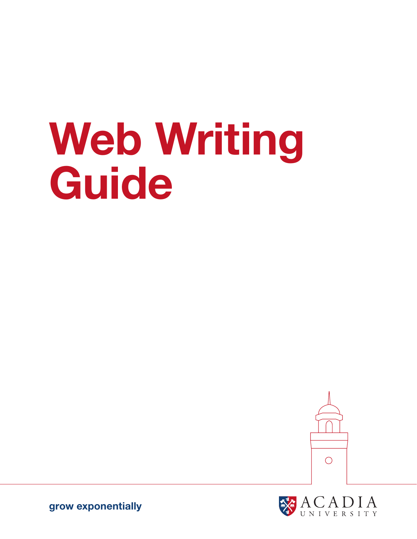# Web Writing Guide





grow exponentially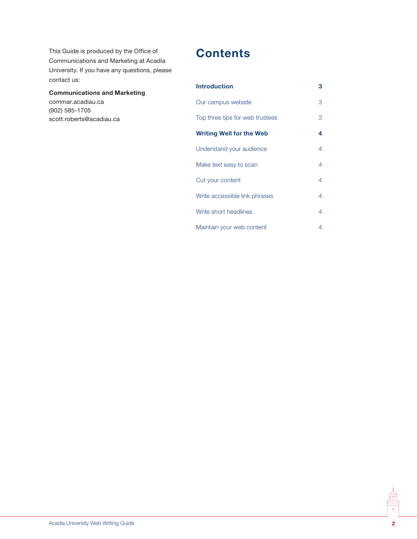This Guide is produced by the Office of Communications and Marketing at Acadia University. If you have any questions, please contact us:

#### Communications and Marketing

commar.acadiau.ca (902) 585-1705 scott.roberts@acadiau.ca

# **Contents**

| <b>Introduction</b>             | 3 |
|---------------------------------|---|
| Our campus website              | 3 |
| Top three tips for web trustees | 3 |
| <b>Writing Well for the Web</b> | 4 |
| Understand your audience        | 4 |
| Make text easy to scan          | 4 |
| Cut your content                | 4 |
| Write accessible link phrases   | 4 |
| Write short headlines           | 4 |
| Maintain your web content       | 4 |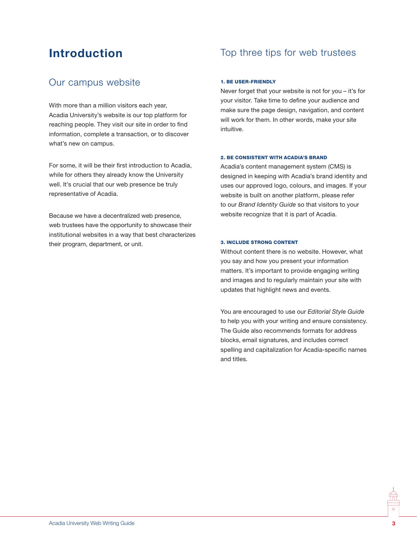# Introduction

## Our campus website

With more than a million visitors each year, Acadia University's website is our top platform for reaching people. They visit our site in order to find information, complete a transaction, or to discover what's new on campus.

For some, it will be their first introduction to Acadia, while for others they already know the University well. It's crucial that our web presence be truly representative of Acadia.

Because we have a decentralized web presence, web trustees have the opportunity to showcase their institutional websites in a way that best characterizes their program, department, or unit.

## Top three tips for web trustees

#### 1. Be user-friendly

Never forget that your website is not for you – it's for your visitor. Take time to define your audience and make sure the page design, navigation, and content will work for them. In other words, make your site intuitive.

#### 2. Be consistent with Acadia's brand

Acadia's content management system (CMS) is designed in keeping with Acadia's brand identity and uses our approved logo, colours, and images. If your website is built on another platform, please refer to our *Brand Identity Guide* so that visitors to your website recognize that it is part of Acadia.

#### 3. Include strong content

Without content there is no website. However, what you say and how you present your information matters. It's important to provide engaging writing and images and to regularly maintain your site with updates that highlight news and events.

You are encouraged to use our *Editorial Style Guide* to help you with your writing and ensure consistency. The Guide also recommends formats for address blocks, email signatures, and includes correct spelling and capitalization for Acadia-specific names and titles.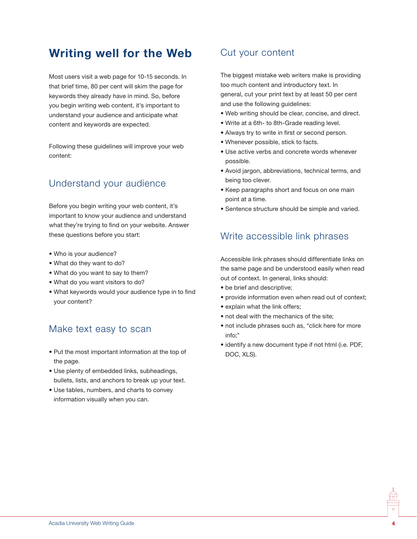# Writing well for the Web

Most users visit a web page for 10-15 seconds. In that brief time, 80 per cent will skim the page for keywords they already have in mind. So, before you begin writing web content, it's important to understand your audience and anticipate what content and keywords are expected.

Following these guidelines will improve your web content:

## Understand your audience

Before you begin writing your web content, it's important to know your audience and understand what they're trying to find on your website. Answer these questions before you start:

- Who is your audience?
- What do they want to do?
- What do you want to say to them?
- What do you want visitors to do?
- What keywords would your audience type in to find your content?

## Make text easy to scan

- Put the most important information at the top of the page.
- Use plenty of embedded links, subheadings, bullets, lists, and anchors to break up your text.
- Use tables, numbers, and charts to convey information visually when you can.

## Cut your content

The biggest mistake web writers make is providing too much content and introductory text. In general, cut your print text by at least 50 per cent and use the following guidelines:

- Web writing should be clear, concise, and direct.
- Write at a 6th- to 8th-Grade reading level.
- Always try to write in first or second person.
- Whenever possible, stick to facts.
- Use active verbs and concrete words whenever possible.
- Avoid jargon, abbreviations, technical terms, and being too clever.
- Keep paragraphs short and focus on one main point at a time.
- Sentence structure should be simple and varied.

### Write accessible link phrases

Accessible link phrases should differentiate links on the same page and be understood easily when read out of context. In general, links should:

- be brief and descriptive;
- provide information even when read out of context;
- explain what the link offers;
- not deal with the mechanics of the site:
- not include phrases such as, "click here for more info;"
- identify a new document type if not html (i.e. PDF, DOC, XLS).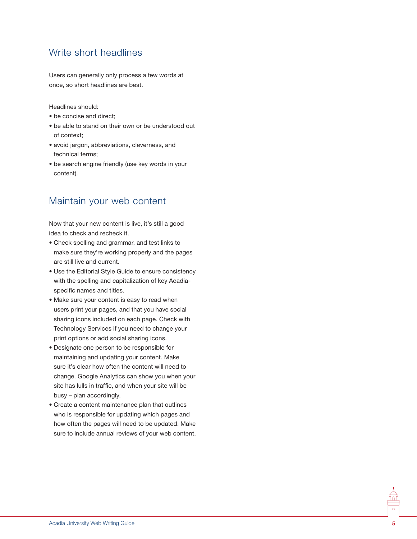## Write short headlines

Users can generally only process a few words at once, so short headlines are best.

Headlines should:

- be concise and direct;
- be able to stand on their own or be understood out of context;
- avoid jargon, abbreviations, cleverness, and technical terms;
- be search engine friendly (use key words in your content).

## Maintain your web content

Now that your new content is live, it's still a good idea to check and recheck it.

- Check spelling and grammar, and test links to make sure they're working properly and the pages are still live and current.
- Use the Editorial Style Guide to ensure consistency with the spelling and capitalization of key Acadiaspecific names and titles.
- Make sure your content is easy to read when users print your pages, and that you have social sharing icons included on each page. Check with Technology Services if you need to change your print options or add social sharing icons.
- Designate one person to be responsible for maintaining and updating your content. Make sure it's clear how often the content will need to change. Google Analytics can show you when your site has lulls in traffic, and when your site will be busy – plan accordingly.
- Create a content maintenance plan that outlines who is responsible for updating which pages and how often the pages will need to be updated. Make sure to include annual reviews of your web content.